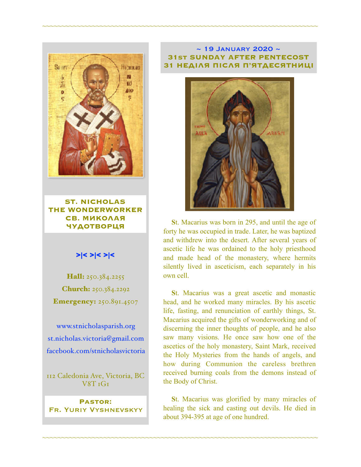

**ST. NICHOLAS THE WONDERWORKER СВ. МИКОЛАЯ ЧУДОТВОРЦЯ**

### >|< >|< >|<

Hall: 250.384.2255 Church: 250.384.2292 **Emergency: 250.891.4507** 

[www.stnicholasparish.org](http://www.stnicholasparish.org) [st.nicholas.victoria@gmail.com](mailto:st.nicholas.victoria@gmail.com) [facebook.com/stnicholasvictoria](http://facebook.com/stnicholasvictoria)

112 Caledonia Ave, Victoria, BC V8T 1G1

**Pastor:**  Fr. Yuriy Vyshnevskyy

#### $\sim$  19 JANUARY 2020  $\sim$ **31st SUNDAY AFTER PENTECOST 31 НЕДІЛЯ ПІСЛЯ П'ЯТДЕСЯТНИЦІ**

~~~~~~~~~~~~~~~~~~~~~~~~~~~~~~~~~~~~~~~~~~~~~~~~~~~~~~~~~~~~~~~~~~~~~~~~



**S**t. Macarius was born in 295, and until the age of forty he was occupied in trade. Later, he was baptized and withdrew into the desert. After several years of ascetic life he was ordained to the holy priesthood and made head of the monastery, where hermits silently lived in asceticism, each separately in his own cell.

**S**t. Macarius was a great ascetic and monastic head, and he worked many miracles. By his ascetic life, fasting, and renunciation of earthly things, St. Macarius acquired the gifts of wonderworking and of discerning the inner thoughts of people, and he also saw many visions. He once saw how one of the ascetics of the holy monastery, Saint Mark, received the Holy Mysteries from the hands of angels, and how during Communion the careless brethren received burning coals from the demons instead of the Body of Christ.

**S**t. Macarius was glorified by many miracles of healing the sick and casting out devils. He died in about 394-395 at age of one hundred.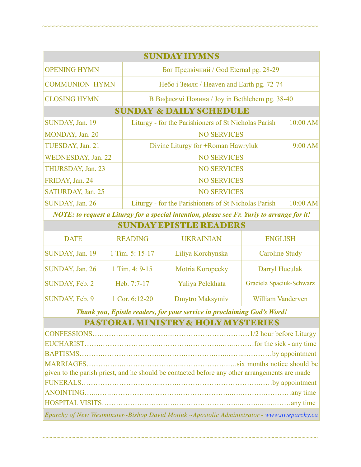| <b>SUNDAY HYMNS</b>                |                                                      |          |  |  |  |
|------------------------------------|------------------------------------------------------|----------|--|--|--|
| <b>OPENING HYMN</b>                | Бог Предвічний / God Eternal pg. 28-29               |          |  |  |  |
| <b>COMMUNION HYMN</b>              | Небо і Земля / Heaven and Earth pg. 72-74            |          |  |  |  |
| <b>CLOSING HYMN</b>                | В Вифлеємі Новина / Joy in Bethlehem pg. 38-40       |          |  |  |  |
| <b>SUNDAY &amp; DAILY SCHEDULE</b> |                                                      |          |  |  |  |
| SUNDAY, Jan. 19                    | Liturgy - for the Parishioners of St Nicholas Parish | 10:00 AM |  |  |  |
| MONDAY, Jan. 20                    | <b>NO SERVICES</b>                                   |          |  |  |  |
| TUESDAY, Jan. 21                   | Divine Liturgy for +Roman Hawryluk                   | 9:00 AM  |  |  |  |
| WEDNESDAY, Jan. 22                 | <b>NO SERVICES</b>                                   |          |  |  |  |
| THURSDAY, Jan. 23                  | <b>NO SERVICES</b>                                   |          |  |  |  |
| FRIDAY, Jan. 24                    | <b>NO SERVICES</b>                                   |          |  |  |  |
| SATURDAY, Jan. 25                  | <b>NO SERVICES</b>                                   |          |  |  |  |
| SUNDAY, Jan. 26                    | Liturgy - for the Parishioners of St Nicholas Parish | 10:00 AM |  |  |  |

~~~~~~~~~~~~~~~~~~~~~~~~~~~~~~~~~~~~~~~~~~~~~~~~~~~~~~~~~~~~~~~~~~~~~~~~

*NOTE: to request a Liturgy for a special intention, please see Fr. Yuriy to arrange for it!* SUNDAY EPISTLE READERS

| SUNDAY BPISTLE KEADEKS |                 |                   |                          |  |
|------------------------|-----------------|-------------------|--------------------------|--|
| <b>DATE</b>            | <b>READING</b>  | <b>UKRAINIAN</b>  | <b>ENGLISH</b>           |  |
| SUNDAY, Jan. 19        | 1 Tim. 5: 15-17 | Liliya Korchynska | <b>Caroline Study</b>    |  |
| SUNDAY, Jan. 26        | 1 Tim. 4: 9-15  | Motria Koropecky  | Darryl Huculak           |  |
| SUNDAY, Feb. 2         | Heb. 7:7-17     | Yuliya Pelekhata  | Graciela Spaciuk-Schwarz |  |
| SUNDAY, Feb. 9         | 1 Cor. 6:12-20  | Dmytro Maksymiv   | William Vanderven        |  |

*Thank you, Epistle readers, for your service in proclaiming God's Word!*

# PASTORAL MINISTRY & HOLY MYSTERIES

| given to the parish priest, and he should be contacted before any other arrangements are made |  |  |  |
|-----------------------------------------------------------------------------------------------|--|--|--|
|                                                                                               |  |  |  |
|                                                                                               |  |  |  |
|                                                                                               |  |  |  |
| Eparchy of New Westminster~Bishop David Motiuk ~Apostolic Administrator~ www.nweparchy.ca     |  |  |  |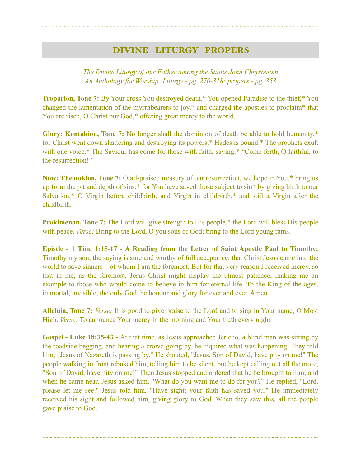## DIVINE LITURGY PROPERS

~~~~~~~~~~~~~~~~~~~~~~~~~~~~~~~~~~~~~~~~~~~~~~~~~~~~~~~~~~~~~~~~~~~~~~~~

*The Divine Liturgy of our Father among the Saints John Chrysostom An Anthology for Worship: Liturgy - pg. 270-318; propers - pg. 353* 

**Troparion, Tone 7:** By Your cross You destroyed death,\* You opened Paradise to the thief,\* You changed the lamentation of the myrrhbearers to joy,\* and charged the apostles to proclaim\* that You are risen, O Christ our God,\* offering great mercy to the world.

**Glory: Kontakion, Tone 7:** No longer shall the dominion of death be able to hold humanity,\* for Christ went down shattering and destroying its powers.\* Hades is bound.\* The prophets exult with one voice.\* The Saviour has come for those with faith, saying:\* "Come forth, O faithful, to the resurrection!"

**Now: Theotokion, Tone 7:** O all-praised treasury of our resurrection, we hope in You,\* bring us up from the pit and depth of sins,\* for You have saved those subject to sin\* by giving birth to our Salvation,\* O Virgin before childbirth, and Virgin in childbirth,\* and still a Virgin after the childbirth.

**Prokimenon, Tone 7:** The Lord will give strength to His people,<sup>\*</sup> the Lord will bless His people with peace. *Verse:* Bring to the Lord, O you sons of God; bring to the Lord young rams.

**Epistle - 1 Tim. 1:15-17 - A Reading from the Letter of Saint Apostle Paul to Timothy:** Timothy my son, the saying is sure and worthy of full acceptance, that Christ Jesus came into the world to save sinners—of whom I am the foremost. But for that very reason I received mercy, so that in me, as the foremost, Jesus Christ might display the utmost patience, making me an example to those who would come to believe in him for eternal life. To the King of the ages, immortal, invisible, the only God, be honour and glory for ever and ever. Amen.

**Alleluia, Tone 7:** *Verse:* It is good to give praise to the Lord and to sing in Your name, O Most High. *Verse:* To announce Your mercy in the morning and Your truth every night.

**Gospel - Luke 18:35-43 -** At that time, as Jesus approached Jericho, a blind man was sitting by the roadside begging, and hearing a crowd going by, he inquired what was happening. They told him, "Jesus of Nazareth is passing by." He shouted, "Jesus, Son of David, have pity on me!" The people walking in front rebuked him, telling him to be silent, but he kept calling out all the more, "Son of David, have pity on me!" Then Jesus stopped and ordered that he be brought to him; and when he came near, Jesus asked him, "What do you want me to do for you?" He replied, "Lord, please let me see." Jesus told him, "Have sight; your faith has saved you." He immediately received his sight and followed him, giving glory to God. When they saw this, all the people gave praise to God.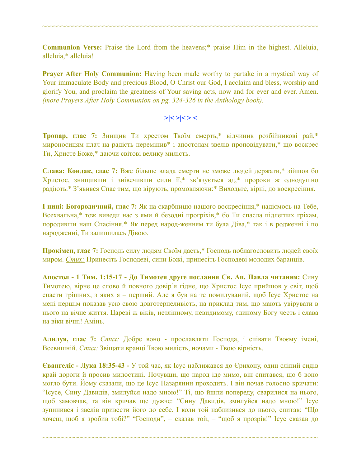**Communion Verse:** Praise the Lord from the heavens;\* praise Him in the highest. Alleluia, alleluia,\* alleluia!

~~~~~~~~~~~~~~~~~~~~~~~~~~~~~~~~~~~~~~~~~~~~~~~~~~~~~~~~~~~~~~~~~~~~~~~~

**Prayer After Holy Communion:** Having been made worthy to partake in a mystical way of Your immaculate Body and precious Blood, O Christ our God, I acclaim and bless, worship and glorify You, and proclaim the greatness of Your saving acts, now and for ever and ever. Amen. *(more Prayers After Holy Communion on pg. 324-326 in the Anthology book).* 

$$
>\mid <>\mid < \mid <
$$

**Тропар, глас 7:** 3нищив Ти хрестом Твоїм смерть,\* відчинив розбійникові рай,\* мироносицям плач на радість перемінив\* і апостолам звелів проповідувати,\* що воскрес Ти, Христе Боже,\* даючи світові велику милість.

**Слава: Кондак, глас 7:** Вже більше влада смерти не зможе людей держати,\* зійшов бо Христос, знищивши і знівечивши сили її,\* зв'язується ад,\* пророки ж однодушно радіють.\* З'явився Спас тим, що вірують, промовляючи:\* Виходьте, вірні, до воскресіння.

**І нині: Богородичний, глас 7:** Як на скарбницю нашого воскресіння,\* надіємось на Тебе, Всехвальна,\* тож виведи нас з ями й безодні прогріхів,\* бо Ти спасла підлеглих гріхам, породивши наш Спасіння.\* Як перед народ-женням ти була Діва,\* так і в родженні і по народженні, Ти залишилась Дівою.

**Прокімен, глас 7:** Господь силу людям Своїм дасть,\* Господь поблагословить людей своїх миром. *Стих:* Принесіть Господеві, сини Божі, принесіть Господеві молодих баранців.

**Апостол - 1 Тим. 1:15-17 - До Тимотея друге послання Св. Ап. Павла читання:** Сину Тимотею, вірне це слово й повного довір'я гідне, що Христос Ісус прийшов у світ, щоб спасти грішних, з яких я – перший. Але я був на те помилуваний, щоб Ісус Христос на мені першім показав усю свою довготерпеливість, на приклад тим, що мають увірувати в нього на вічне життя. Цареві ж віків, нетлінному, невидимому, єдиному Богу честь і слава на віки вічні! Амінь.

**Алилуя, глас 7:** *Стих:* Добре воно - прославляти Господа, і співати Твоєму імені, Всевишній. *Стих:* Звіщати вранці Твою милість, ночами - Твою вірність.

**Євангеліє - Лука 18:35-43 -** У той час, як Ісус наближався до Єрихону, один сліпий сидів край дороги й просив милостині. Почувши, що народ іде мимо, він спитався, що б воно могло бути. Йому сказали, що це Ісус Назарянин проходить. І він почав голосно кричати: "Ісусе, Сину Давидів, змилуйся надо мною!" Ті, що йшли попереду, сварилися на нього, щоб замовчав, та він кричав ще дужче: "Сину Давидів, змилуйся надо мною!" Ісус зупинився і звелів привести його до себе. І коли той наблизився до нього, спитав: "Що хочеш, щоб я зробив тобі?" "Господи", – сказав той, – "щоб я прозрів!" Ісус сказав до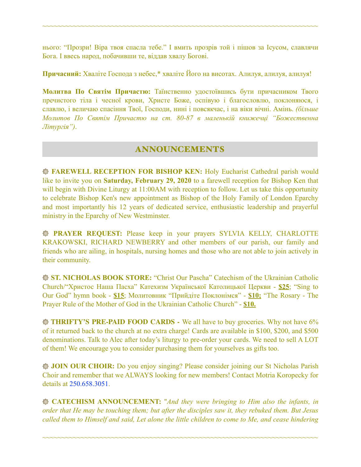нього: "Прозри! Віра твоя спасла тебе." І вмить прозрів той і пішов за Ісусом, славлячи Бога. І ввесь народ, побачивши те, віддав хвалу Богові.

~~~~~~~~~~~~~~~~~~~~~~~~~~~~~~~~~~~~~~~~~~~~~~~~~~~~~~~~~~~~~~~~~~~~~~~~

**Причасний:** Хваліте Господа з небес,\* хваліте Його на висотах. Алилуя, алилуя, алилуя!

**Молитва По Святім Причастю:** Таїнственно удостоївшись бути причасником Твого пречистого тіла і чесної крови, Христе Боже, оспівую і благословлю, поклоняюся, і славлю, і величаю спасіння Твої, Господи, нині і повсякчас, і на віки вічні. Амінь. *(більше Молитов По Святім Причастю на ст. 80-87 в маленькій книжечці "Божественна Літургія")*.

### ANNOUNCEMENTS

**FAREWELL RECEPTION FOR BISHOP KEN:** Holy Eucharist Cathedral parish would like to invite you on **Saturday, February 29, 2020** to a farewell reception for Bishop Ken that will begin with Divine Liturgy at 11:00AM with reception to follow. Let us take this opportunity to celebrate Bishop Ken's new appointment as Bishop of the Holy Family of London Eparchy and most importantly his 12 years of dedicated service, enthusiastic leadership and prayerful ministry in the Eparchy of New Westminster.

**PRAYER REQUEST:** Please keep in your prayers SYLVIA KELLY, CHARLOTTE KRAKOWSKI, RICHARD NEWBERRY and other members of our parish, our family and friends who are ailing, in hospitals, nursing homes and those who are not able to join actively in their community.

**ST. NICHOLAS BOOK STORE:** "Christ Our Pascha" Catechism of the Ukrainian Catholic Church/"Христос Наша Пасха" Катехизм Української Католицької Церкви - **\$25**; "Sing to Our God" hymn book - **\$15**; Молитовник "Прийдіте Поклонімся" - **\$10;** "The Rosary - The Prayer Rule of the Mother of God in the Ukrainian Catholic Church" - **\$10.** 

**THRIFTY'S PRE-PAID FOOD CARDS** - We all have to buy groceries. Why not have 6% of it returned back to the church at no extra charge! Cards are available in \$100, \$200, and \$500 denominations. Talk to Alec after today's liturgy to pre-order your cards. We need to sell A LOT of them! We encourage you to consider purchasing them for yourselves as gifts too.

**JOIN OUR CHOIR:** Do you enjoy singing? Please consider joining our St Nicholas Parish Choir and remember that we ALWAYS looking for new members! Contact Motria Koropecky for details at 250.658.3051.

**CATECHISM ANNOUNCEMENT:** "*And they were bringing to Him also the infants, in order that He may be touching them; but after the disciples saw it, they rebuked them. But Jesus called them to Himself and said, Let alone the little children to come to Me, and cease hindering*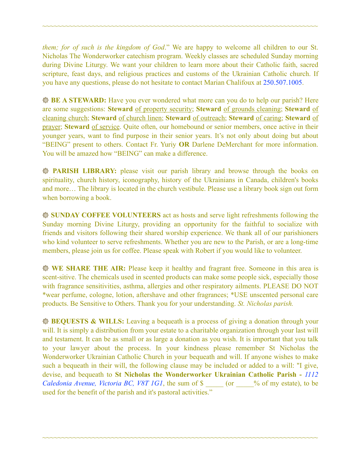*them; for of such is the kingdom of God*." We are happy to welcome all children to our St. Nicholas The Wonderworker catechism program. Weekly classes are scheduled Sunday morning during Divine Liturgy. We want your children to learn more about their Catholic faith, sacred scripture, feast days, and religious practices and customs of the Ukrainian Catholic church. If you have any questions, please do not hesitate to contact Marian Chalifoux at 250.507.1005.

~~~~~~~~~~~~~~~~~~~~~~~~~~~~~~~~~~~~~~~~~~~~~~~~~~~~~~~~~~~~~~~~~~~~~~~~

**BE A STEWARD:** Have you ever wondered what more can you do to help our parish? Here are some suggestions: **Steward** of property security; **Steward** of grounds cleaning; **Steward** of cleaning church; **Steward** of church linen; **Steward** of outreach; **Steward** of caring; **Steward** of prayer; **Steward** of service. Quite often, our homebound or senior members, once active in their younger years, want to find purpose in their senior years. It's not only about doing but about "BEING" present to others. Contact Fr. Yuriy **OR** Darlene DeMerchant for more information. You will be amazed how "BEING" can make a difference.

**PARISH LIBRARY:** please visit our parish library and browse through the books on spirituality, church history, iconography, history of the Ukrainians in Canada, children's books and more… The library is located in the church vestibule. Please use a library book sign out form when borrowing a book.

**SUNDAY COFFEE VOLUNTEERS** act as hosts and serve light refreshments following the Sunday morning Divine Liturgy, providing an opportunity for the faithful to socialize with friends and visitors following their shared worship experience. We thank all of our parishioners who kind volunteer to serve refreshments. Whether you are new to the Parish, or are a long-time members, please join us for coffee. Please speak with Robert if you would like to volunteer.

**WE SHARE THE AIR:** Please keep it healthy and fragrant free. Someone in this area is scent-sitive. The chemicals used in scented products can make some people sick, especially those with fragrance sensitivities, asthma, allergies and other respiratory ailments. PLEASE DO NOT \*wear perfume, cologne, lotion, aftershave and other fragrances; \*USE unscented personal care products. Be Sensitive to Others. Thank you for your understanding. *St. Nicholas parish.* 

**BEQUESTS & WILLS:** Leaving a bequeath is a process of giving a donation through your will. It is simply a distribution from your estate to a charitable organization through your last will and testament. It can be as small or as large a donation as you wish. It is important that you talk to your lawyer about the process. In your kindness please remember St Nicholas the Wonderworker Ukrainian Catholic Church in your bequeath and will. If anyone wishes to make such a bequeath in their will, the following clause may be included or added to a will: "I give, devise, and bequeath to **St Nicholas the Wonderworker Ukrainian Catholic Parish -** *1112 Caledonia Avenue, Victoria BC, V8T 1G1*, the sum of \$  $\degree$  (or  $\degree$  % of my estate), to be used for the benefit of the parish and it's pastoral activities."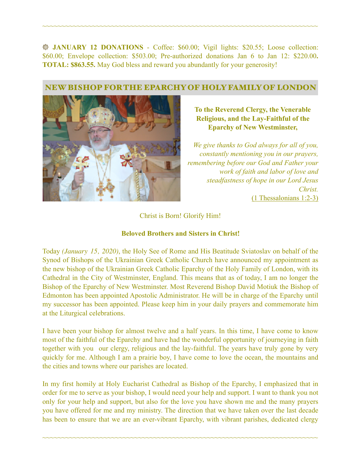**JANUARY 12 DONATIONS** - Coffee: \$60.00; Vigil lights: \$20.55; Loose collection: \$60.00; Envelope collection: \$503.00; Pre-authorized donations Jan 6 to Jan 12: \$220.00**. TOTAL: \$863.55.** May God bless and reward you abundantly for your generosity!

~~~~~~~~~~~~~~~~~~~~~~~~~~~~~~~~~~~~~~~~~~~~~~~~~~~~~~~~~~~~~~~~~~~~~~~~

### NEW BISHOP FOR THE EPARCHY OF HOLY FAMILY OF LONDON



**To the Reverend Clergy, the Venerable Religious, and the Lay-Faithful of the Eparchy of New Westminster,** 

*We give thanks to God always for all of you, constantly mentioning you in our prayers, remembering before our God and Father your work of faith and labor of love and steadfastness of hope in our Lord Jesus Christ.*  (1 Thessalonians 1:2-3)

Christ is Born! Glorify Him!

#### **Beloved Brothers and Sisters in Christ!**

Today *(January 15, 2020)*, the Holy See of Rome and His Beatitude Sviаtoslav on behalf of the Synod of Bishops of the Ukrainian Greek Catholic Church have announced my appointment as the new bishop of the Ukrainian Greek Catholic Eparchy of the Holy Family of London, with its Cathedral in the City of Westminster, England. This means that as of today, I am no longer the Bishop of the Eparchy of New Westminster. Most Reverend Bishop David Motiuk the Bishop of Edmonton has been appointed Apostolic Administrator. He will be in charge of the Eparchy until my successor has been appointed. Please keep him in your daily prayers and commemorate him at the Liturgical celebrations.

I have been your bishop for almost twelve and a half years. In this time, I have come to know most of the faithful of the Eparchy and have had the wonderful opportunity of journeying in faith together with you our clergy, religious and the lay-faithful. The years have truly gone by very quickly for me. Although I am a prairie boy, I have come to love the ocean, the mountains and the cities and towns where our parishes are located.

In my first homily at Holy Eucharist Cathedral as Bishop of the Eparchy, I emphasized that in order for me to serve as your bishop, I would need your help and support. I want to thank you not only for your help and support, but also for the love you have shown me and the many prayers you have offered for me and my ministry. The direction that we have taken over the last decade has been to ensure that we are an ever-vibrant Eparchy, with vibrant parishes, dedicated clergy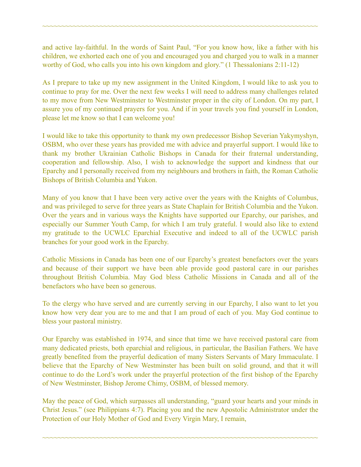and active lay-faithful. In the words of Saint Paul, "For you know how, like a father with his children, we exhorted each one of you and encouraged you and charged you to walk in a manner worthy of God, who calls you into his own kingdom and glory." (1 Thessalonians 2:11-12)

~~~~~~~~~~~~~~~~~~~~~~~~~~~~~~~~~~~~~~~~~~~~~~~~~~~~~~~~~~~~~~~~~~~~~~~~

As I prepare to take up my new assignment in the United Kingdom, I would like to ask you to continue to pray for me. Over the next few weeks I will need to address many challenges related to my move from New Westminster to Westminster proper in the city of London. On my part, I assure you of my continued prayers for you. And if in your travels you find yourself in London, please let me know so that I can welcome you!

I would like to take this opportunity to thank my own predecessor Bishop Severian Yakymyshyn, OSBM, who over these years has provided me with advice and prayerful support. I would like to thank my brother Ukrainian Catholic Bishops in Canada for their fraternal understanding, cooperation and fellowship. Also, I wish to acknowledge the support and kindness that our Eparchy and I personally received from my neighbours and brothers in faith, the Roman Catholic Bishops of British Columbia and Yukon.

Many of you know that I have been very active over the years with the Knights of Columbus, and was privileged to serve for three years as State Chaplain for British Columbia and the Yukon. Over the years and in various ways the Knights have supported our Eparchy, our parishes, and especially our Summer Youth Camp, for which I am truly grateful. I would also like to extend my gratitude to the UCWLC Eparchial Executive and indeed to all of the UCWLC parish branches for your good work in the Eparchy.

Catholic Missions in Canada has been one of our Eparchy's greatest benefactors over the years and because of their support we have been able provide good pastoral care in our parishes throughout British Columbia. May God bless Catholic Missions in Canada and all of the benefactors who have been so generous.

To the clergy who have served and are currently serving in our Eparchy, I also want to let you know how very dear you are to me and that I am proud of each of you. May God continue to bless your pastoral ministry.

Our Eparchy was established in 1974, and since that time we have received pastoral care from many dedicated priests, both eparchial and religious, in particular, the Basilian Fathers. We have greatly benefited from the prayerful dedication of many Sisters Servants of Mary Immaculate. I believe that the Eparchy of New Westminster has been built on solid ground, and that it will continue to do the Lord's work under the prayerful protection of the first bishop of the Eparchy of New Westminster, Bishop Jerome Chimy, OSBM, of blessed memory.

May the peace of God, which surpasses all understanding, "guard your hearts and your minds in Christ Jesus." (see Philippians 4:7). Placing you and the new Apostolic Administrator under the Protection of our Holy Mother of God and Every Virgin Mary, I remain,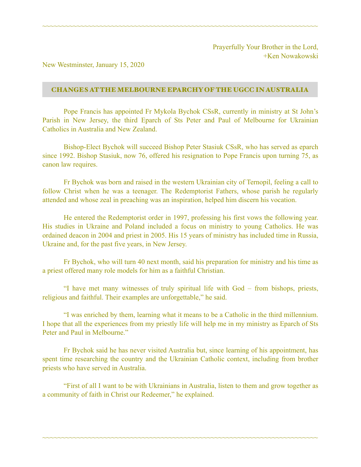New Westminster, January 15, 2020

#### CHANGES AT THE MELBOURNE EPARCHY OF THE UGCC IN AUSTRALIA

~~~~~~~~~~~~~~~~~~~~~~~~~~~~~~~~~~~~~~~~~~~~~~~~~~~~~~~~~~~~~~~~~~~~~~~~

Pope Francis has appointed Fr Mykola Bychok CSsR, currently in ministry at St John's Parish in New Jersey, the third Eparch of Sts Peter and Paul of Melbourne for Ukrainian Catholics in Australia and New Zealand.

 Bishop-Elect Bychok will succeed Bishop Peter Stasiuk CSsR, who has served as eparch since 1992. Bishop Stasiuk, now 76, offered his resignation to Pope Francis upon turning 75, as canon law requires.

 Fr Bychok was born and raised in the western Ukrainian city of Ternopil, feeling a call to follow Christ when he was a teenager. The Redemptorist Fathers, whose parish he regularly attended and whose zeal in preaching was an inspiration, helped him discern his vocation.

 He entered the Redemptorist order in 1997, professing his first vows the following year. His studies in Ukraine and Poland included a focus on ministry to young Catholics. He was ordained deacon in 2004 and priest in 2005. His 15 years of ministry has included time in Russia, Ukraine and, for the past five years, in New Jersey.

 Fr Bychok, who will turn 40 next month, said his preparation for ministry and his time as a priest offered many role models for him as a faithful Christian.

 "I have met many witnesses of truly spiritual life with God – from bishops, priests, religious and faithful. Their examples are unforgettable," he said.

 "I was enriched by them, learning what it means to be a Catholic in the third millennium. I hope that all the experiences from my priestly life will help me in my ministry as Eparch of Sts Peter and Paul in Melbourne."

 Fr Bychok said he has never visited Australia but, since learning of his appointment, has spent time researching the country and the Ukrainian Catholic context, including from brother priests who have served in Australia.

 "First of all I want to be with Ukrainians in Australia, listen to them and grow together as a community of faith in Christ our Redeemer," he explained.